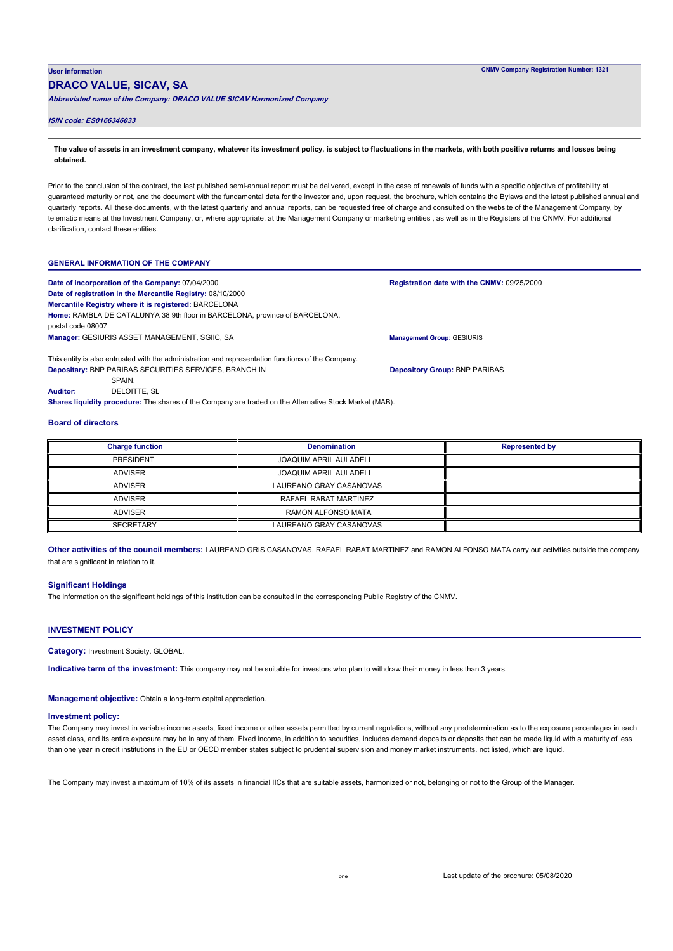# **DRACO VALUE, SICAV, SA**

**Abbreviated name of the Company: DRACO VALUE SICAV Harmonized Company**

## **ISIN code: ES0166346033**

**The value of assets in an investment company, whatever its investment policy, is subject to fluctuations in the markets, with both positive returns and losses being obtained.**

Prior to the conclusion of the contract, the last published semi-annual report must be delivered, except in the case of renewals of funds with a specific objective of profitability at guaranteed maturity or not, and the document with the fundamental data for the investor and, upon request, the brochure, which contains the Bylaws and the latest published annual and quarterly reports. All these documents, with the latest quarterly and annual reports, can be requested free of charge and consulted on the website of the Management Company, by telematic means at the Investment Company, or, where appropriate, at the Management Company or marketing entities , as well as in the Registers of the CNMV. For additional clarification, contact these entities.

## **GENERAL INFORMATION OF THE COMPANY**

| Date of incorporation of the Company: 07/04/2000                                                   | <b>Registration date with the CNMV:</b> |
|----------------------------------------------------------------------------------------------------|-----------------------------------------|
| Date of registration in the Mercantile Registry: 08/10/2000                                        |                                         |
| Mercantile Registry where it is registered: BARCELONA                                              |                                         |
| Home: RAMBLA DE CATALUNYA 38 9th floor in BARCELONA, province of BARCELONA,<br>postal code 08007   |                                         |
| Manager: GESIURIS ASSET MANAGEMENT, SGIIC, SA                                                      | <b>Management Group: GESIURIS</b>       |
| This entity is also entrusted with the administration and representation functions of the Company. |                                         |

**Depositary:** BNP PARIBAS SECURITIES SERVICES, BRANCH IN **SPAIN** 

DELOITTE, SL **Auditor:**

**Shares liquidity procedure:** The shares of the Company are traded on the Alternative Stock Market (MAB).

### **Board of directors**

**Charge function Denomination Denomination Represented by** PRESIDENT ADVISER ADVISER **ADVISER ADVISER SECRETARY** JOAQUIM APRIL AULADELL JOAQUIM APRIL AULADELL LAUREANO GRAY CASANOVAS RAFAEL RABAT MARTINEZ RAMON ALFONSO MATA LAUREANO GRAY CASANOVAS

**Other activities of the council members:** LAUREANO GRIS CASANOVAS, RAFAEL RABAT MARTINEZ and RAMON ALFONSO MATA carry out activities outside the company that are significant in relation to it.

#### **Significant Holdings**

The information on the significant holdings of this institution can be consulted in the corresponding Public Registry of the CNMV.

# **INVESTMENT POLICY**

**Category:** Investment Society. GLOBAL.

**Indicative term of the investment:** This company may not be suitable for investors who plan to withdraw their money in less than 3 years.

**Management objective:** Obtain a long-term capital appreciation.

#### **Investment policy:**

The Company may invest in variable income assets, fixed income or other assets permitted by current regulations, without any predetermination as to the exposure percentages in each asset class, and its entire exposure may be in any of them. Fixed income, in addition to securities, includes demand deposits or deposits that can be made liquid with a maturity of less than one year in credit institutions in the EU or OECD member states subject to prudential supervision and money market instruments. not listed, which are liquid.

The Company may invest a maximum of 10% of its assets in financial IICs that are suitable assets, harmonized or not, belonging or not to the Group of the Manager.

**Registration date with the CNMV:** 09/25/2000

**Depository Group:** BNP PARIBAS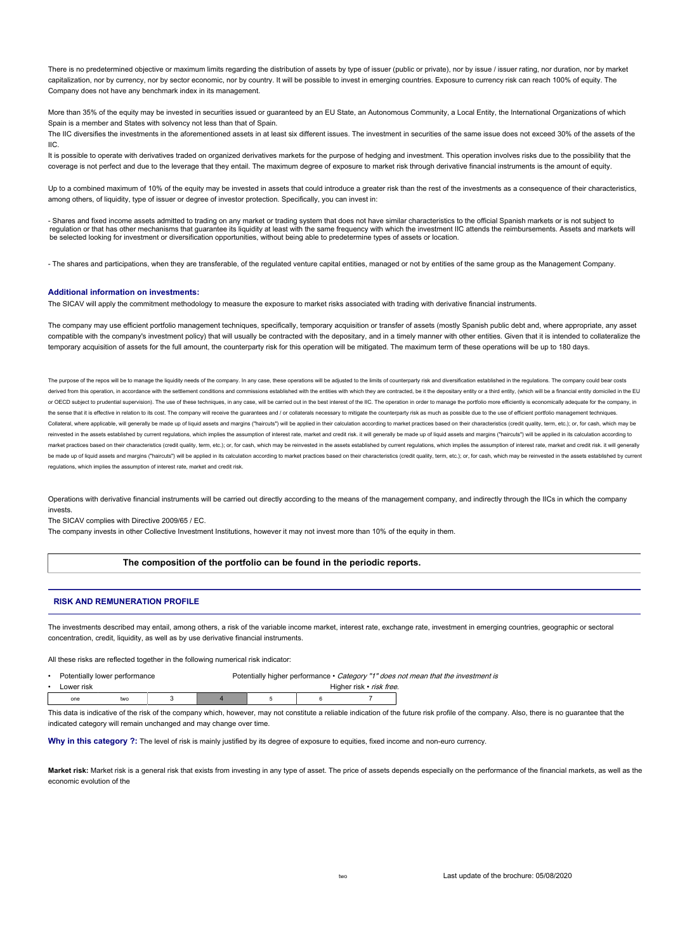There is no predetermined objective or maximum limits regarding the distribution of assets by type of issuer (public or private), nor by issue / issuer rating, nor duration, nor by market capitalization, nor by currency, nor by sector economic, nor by country. It will be possible to invest in emerging countries. Exposure to currency risk can reach 100% of equity. The Company does not have any benchmark index in its management.

More than 35% of the equity may be invested in securities issued or guaranteed by an EU State, an Autonomous Community, a Local Entity, the International Organizations of which Spain is a member and States with solvency not less than that of Spain.

The IIC diversifies the investments in the aforementioned assets in at least six different issues. The investment in securities of the same issue does not exceed 30% of the assets of the IIC.

It is possible to operate with derivatives traded on organized derivatives markets for the purpose of hedging and investment. This operation involves risks due to the possibility that the coverage is not perfect and due to the leverage that they entail. The maximum degree of exposure to market risk through derivative financial instruments is the amount of equity.

Up to a combined maximum of 10% of the equity may be invested in assets that could introduce a greater risk than the rest of the investments as a consequence of their characteristics, among others, of liquidity, type of issuer or degree of investor protection. Specifically, you can invest in:

- Shares and fixed income assets admitted to trading on any market or trading system that does not have similar characteristics to the official Spanish markets or is not subject to regulation or that has other mechanisms that guarantee its liquidity at least with the same frequency with which the investment IIC attends the reimbursements. Assets and markets will<br>be selected looking for investment or

- The shares and participations, when they are transferable, of the regulated venture capital entities, managed or not by entities of the same group as the Management Company.

## **Additional information on investments:**

The SICAV will apply the commitment methodology to measure the exposure to market risks associated with trading with derivative financial instruments.

The company may use efficient portfolio management techniques, specifically, temporary acquisition or transfer of assets (mostly Spanish public debt and, where appropriate, any asset compatible with the company's investment policy) that will usually be contracted with the depositary, and in a timely manner with other entities. Given that it is intended to collateralize the temporary acquisition of assets for the full amount, the counterparty risk for this operation will be mitigated. The maximum term of these operations will be up to 180 days.

The purpose of the repos will be to manage the liquidity needs of the company. In any case, these operations will be adjusted to the limits of counterparty risk and diversification established in the regulations. The compa derived from this operation, in accordance with the settlement conditions and commissions established with the entities with which they are contracted, be it the depositary entity or a third entity, (which will be a financ or OECD subject to prudential supervision). The use of these techniques, in any case, will be carried out in the best interest of the IIC. The operation in order to manage the portfolio more efficiently is economically ade the sense that it is effective in relation to its cost. The company will receive the quarantees and / or collaterals necessary to mitigate the counterparty risk as much as possible due to the use of efficient portfolio man Collateral, where applicable, will generally be made up of liquid assets and margins ("haircuts") will be applied in their calculation according to market practices based on their characteristics (credit quality, term, etc reinvested in the assets established by current requiations, which implies the assumption of interest rate, market and credit risk, it will generally be made up of liquid assets and margins ("haircuts") will be applied in market practices based on their characteristics (credit quality, term, etc.); or, for cash, which may be reinvested in the assets established by current requlations, which implies the assumption of interest rate, market an be made up of liquid assets and margins ("haircuts") will be applied in its calculation according to market practices based on their characteristics (credit quality, term, etc.); or, for cash, which may be reinvested in th regulations, which implies the assumption of interest rate, market and credit risk.

Operations with derivative financial instruments will be carried out directly according to the means of the management company, and indirectly through the IICs in which the company invests.

The SICAV complies with Directive 2009/65 / EC.

The company invests in other Collective Investment Institutions, however it may not invest more than 10% of the equity in them.

## **The composition of the portfolio can be found in the periodic reports.**

### **RISK AND REMUNERATION PROFILE**

The investments described may entail, among others, a risk of the variable income market, interest rate, exchange rate, investment in emerging countries, geographic or sectoral concentration, credit, liquidity, as well as by use derivative financial instruments.

All these risks are reflected together in the following numerical risk indicator:

| Potentially lower performance |            |     | Potentially higher performance • Category "1" does not mean that the investment is |                          |  |  |  |
|-------------------------------|------------|-----|------------------------------------------------------------------------------------|--------------------------|--|--|--|
| $\bullet$                     | Lower risk |     |                                                                                    | Higher risk • risk free. |  |  |  |
|                               | one        | two |                                                                                    |                          |  |  |  |

This data is indicative of the risk of the company which, however, may not constitute a reliable indication of the future risk profile of the company. Also, there is no quarantee that the indicated category will remain unchanged and may change over time.

Why in this category ?: The level of risk is mainly justified by its degree of exposure to equities, fixed income and non-euro currency.

Market risk: Market risk is a general risk that exists from investing in any type of asset. The price of assets depends especially on the performance of the financial markets, as well as the economic evolution of the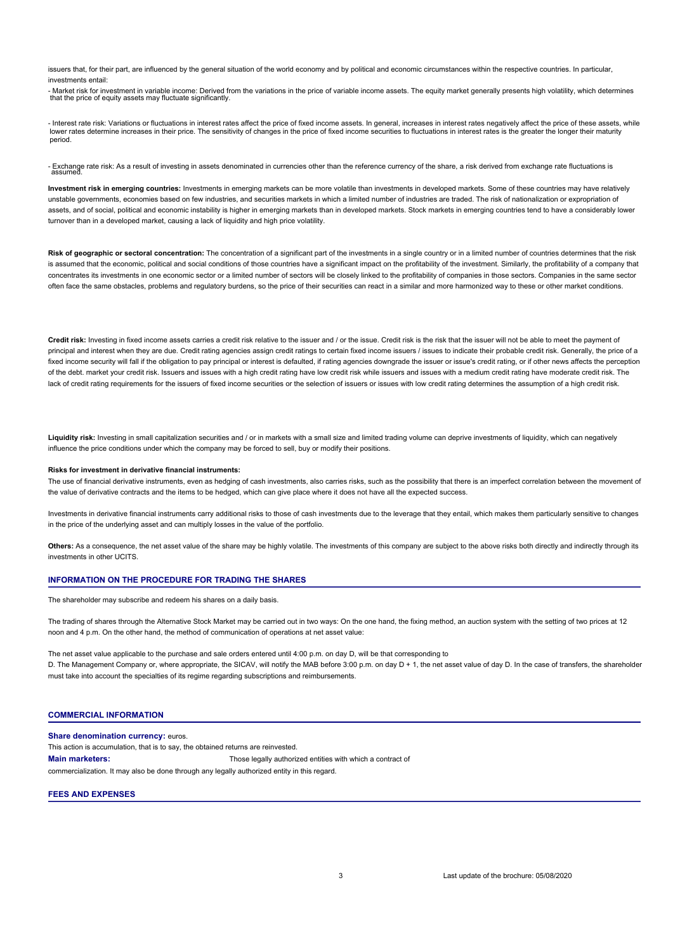issuers that, for their part, are influenced by the general situation of the world economy and by political and economic circumstances within the respective countries. In particular, investments entail:

- Market risk for investment in variable income: Derived from the variations in the price of variable income assets. The equity market generally presents high volatility, which determines that the price of equity assets may fluctuate significantly.

- Interest rate risk: Variations or fluctuations in interest rates affect the price of fixed income assets. In general, increases in interest rates negatively affect the price of these assets, while lower rates determine increases in their price. The sensitivity of changes in the price of fixed income securities to fluctuations in interest rates is the greater the longer their maturity period.

- Exchange rate risk: As a result of investing in assets denominated in currencies other than the reference currency of the share, a risk derived from exchange rate fluctuations is assumed.

**Investment risk in emerging countries:** Investments in emerging markets can be more volatile than investments in developed markets. Some of these countries may have relatively unstable governments, economies based on few industries, and securities markets in which a limited number of industries are traded. The risk of nationalization or expropriation of assets, and of social, political and economic instability is higher in emerging markets than in developed markets. Stock markets in emerging countries tend to have a considerably lower turnover than in a developed market, causing a lack of liquidity and high price volatility.

**Risk of geographic or sectoral concentration:** The concentration of a significant part of the investments in a single country or in a limited number of countries determines that the risk is assumed that the economic, political and social conditions of those countries have a significant impact on the profitability of the investment. Similarly, the profitability of a company that concentrates its investments in one economic sector or a limited number of sectors will be closely linked to the profitability of companies in those sectors. Companies in the same sector often face the same obstacles, problems and regulatory burdens, so the price of their securities can react in a similar and more harmonized way to these or other market conditions.

Credit risk: Investing in fixed income assets carries a credit risk relative to the issuer and / or the issue. Credit risk is the risk that the issuer will not be able to meet the payment of principal and interest when they are due. Credit rating agencies assign credit ratings to certain fixed income issuers / issues to indicate their probable credit risk. Generally, the price of a fixed income security will fall if the obligation to pay principal or interest is defaulted, if rating agencies downgrade the issuer or issue's credit rating, or if other news affects the perception of the debt. market your credit risk. Issuers and issues with a high credit rating have low credit risk while issuers and issues with a medium credit rating have moderate credit risk. The lack of credit rating requirements for the issuers of fixed income securities or the selection of issuers or issues with low credit rating determines the assumption of a high credit risk.

**Liquidity risk:** Investing in small capitalization securities and / or in markets with a small size and limited trading volume can deprive investments of liquidity, which can negatively influence the price conditions under which the company may be forced to sell, buy or modify their positions.

#### **Risks for investment in derivative financial instruments:**

The use of financial derivative instruments, even as hedging of cash investments, also carries risks, such as the possibility that there is an imperfect correlation between the movement of the value of derivative contracts and the items to be hedged, which can give place where it does not have all the expected success.

Investments in derivative financial instruments carry additional risks to those of cash investments due to the leverage that they entail, which makes them particularly sensitive to changes in the price of the underlying asset and can multiply losses in the value of the portfolio.

Others: As a consequence, the net asset value of the share may be highly volatile. The investments of this company are subject to the above risks both directly and indirectly through its investments in other UCITS.

## **INFORMATION ON THE PROCEDURE FOR TRADING THE SHARES**

The shareholder may subscribe and redeem his shares on a daily basis.

The trading of shares through the Alternative Stock Market may be carried out in two ways: On the one hand, the fixing method, an auction system with the setting of two prices at 12 noon and 4 p.m. On the other hand, the method of communication of operations at net asset value:

The net asset value applicable to the purchase and sale orders entered until 4:00 p.m. on day D, will be that corresponding to D. The Management Company or, where appropriate, the SICAV, will notify the MAB before 3:00 p.m. on day D + 1, the net asset value of day D. In the case of transfers, the shareholder must take into account the specialties of its regime regarding subscriptions and reimbursements.

# **COMMERCIAL INFORMATION**

**Share denomination currency: euros. Main marketers:** This action is accumulation, that is to say, the obtained returns are reinvested. Those legally authorized entities with which a contract of commercialization. It may also be done through any legally authorized entity in this regard.

### **FEES AND EXPENSES**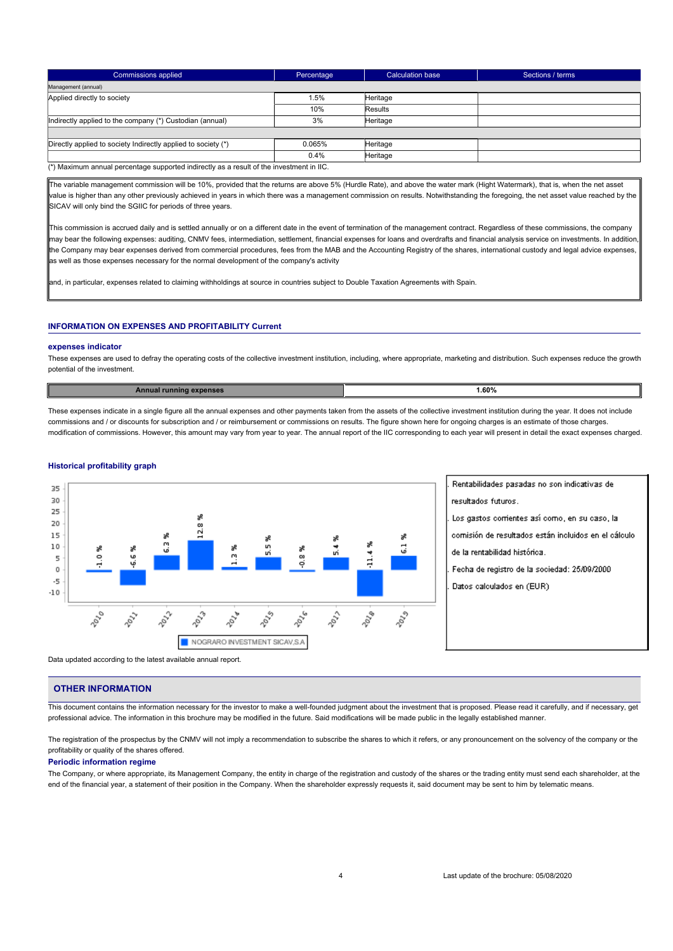| Commissions applied                                                                                                   | Percentage, | Calculation base | Sections / terms |  |  |  |
|-----------------------------------------------------------------------------------------------------------------------|-------------|------------------|------------------|--|--|--|
| Management (annual)                                                                                                   |             |                  |                  |  |  |  |
| Applied directly to society                                                                                           | 1.5%        | Heritage         |                  |  |  |  |
|                                                                                                                       | 10%         | Results          |                  |  |  |  |
| Indirectly applied to the company (*) Custodian (annual)                                                              | 3%          | Heritage         |                  |  |  |  |
|                                                                                                                       |             |                  |                  |  |  |  |
| Directly applied to society Indirectly applied to society (*)                                                         | 0.065%      | Heritage         |                  |  |  |  |
|                                                                                                                       | 0.4%        | Heritage         |                  |  |  |  |
| $\sqrt{2}$ Marrier and a contract of the contract in the discrete state of the following contract $\sim$ 110 $\sigma$ |             |                  |                  |  |  |  |

num annual percentage supported indirectly as a result of the investment in IIC.

The variable management commission will be 10%, provided that the returns are above 5% (Hurdle Rate), and above the water mark (Hight Watermark), that is, when the net asset value is higher than any other previously achieved in years in which there was a management commission on results. Notwithstanding the foregoing, the net asset value reached by the SICAV will only bind the SGIIC for periods of three years.

This commission is accrued daily and is settled annually or on a different date in the event of termination of the management contract. Regardless of these commissions, the company may bear the following expenses: auditing, CNMV fees, intermediation, settlement, financial expenses for loans and overdrafts and financial analysis service on investments. In addition the Company may bear expenses derived from commercial procedures, fees from the MAB and the Accounting Registry of the shares, international custody and legal advice expenses, as well as those expenses necessary for the normal development of the company's activity

and, in particular, expenses related to claiming withholdings at source in countries subject to Double Taxation Agreements with Spain.

# **INFORMATION ON EXPENSES AND PROFITABILITY Current**

### **expenses indicator**

These expenses are used to defray the operating costs of the collective investment institution, including, where appropriate, marketing and distribution. Such expenses reduce the growth potential of the investment.

| 1.60% |  |
|-------|--|
|       |  |

These expenses indicate in a single figure all the annual expenses and other payments taken from the assets of the collective investment institution during the year. It does not include commissions and / or discounts for subscription and / or reimbursement or commissions on results. The figure shown here for ongoing charges is an estimate of those charges. modification of commissions. However, this amount may vary from year to year. The annual report of the IIC corresponding to each year will present in detail the exact expenses charged.

# **Historical profitability graph**



Data updated according to the latest available annual report.

# **OTHER INFORMATION**

This document contains the information necessary for the investor to make a well-founded judgment about the investment that is proposed. Please read it carefully, and if necessary, get professional advice. The information in this brochure may be modified in the future. Said modifications will be made public in the legally established manner.

The registration of the prospectus by the CNMV will not imply a recommendation to subscribe the shares to which it refers, or any pronouncement on the solvency of the company or the profitability or quality of the shares offered.

## **Periodic information regime**

The Company, or where appropriate, its Management Company, the entity in charge of the registration and custody of the shares or the trading entity must send each shareholder, at the end of the financial year, a statement of their position in the Company. When the shareholder expressly requests it, said document may be sent to him by telematic means.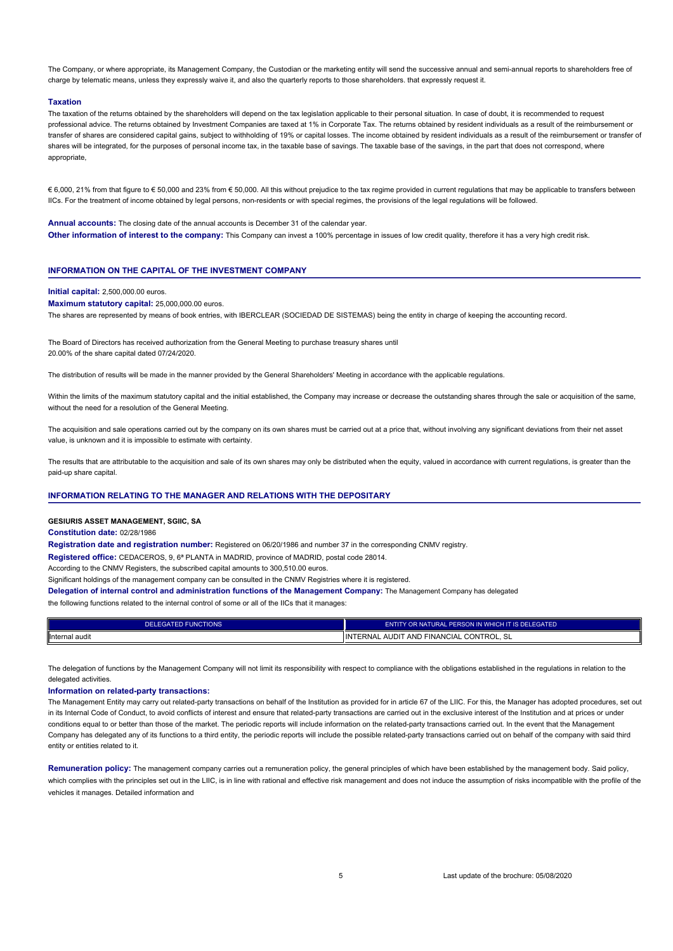The Company, or where appropriate, its Management Company, the Custodian or the marketing entity will send the successive annual and semi-annual reports to shareholders free of charge by telematic means, unless they expressly waive it, and also the quarterly reports to those shareholders. that expressly request it.

#### **Taxation**

The taxation of the returns obtained by the shareholders will depend on the tax legislation applicable to their personal situation. In case of doubt, it is recommended to request professional advice. The returns obtained by Investment Companies are taxed at 1% in Corporate Tax. The returns obtained by resident individuals as a result of the reimbursement or transfer of shares are considered capital gains, subject to withholding of 19% or capital losses. The income obtained by resident individuals as a result of the reimbursement or transfer of shares will be integrated, for the purposes of personal income tax, in the taxable base of savings. The taxable base of the savings, in the part that does not correspond, where appropriate,

€ 6,000, 21% from that figure to € 50,000 and 23% from € 50,000. All this without prejudice to the tax regime provided in current regulations that may be applicable to transfers between IICs. For the treatment of income obtained by legal persons, non-residents or with special regimes, the provisions of the legal regulations will be followed.

**Annual accounts:** The closing date of the annual accounts is December 31 of the calendar year. **Other information of interest to the company:** This Company can invest a 100% percentage in issues of low credit quality, therefore it has a very high credit risk.

## **INFORMATION ON THE CAPITAL OF THE INVESTMENT COMPANY**

## **Initial capital:** 2,500,000.00 euros.

**Maximum statutory capital:** 25,000,000.00 euros.

The shares are represented by means of book entries, with IBERCLEAR (SOCIEDAD DE SISTEMAS) being the entity in charge of keeping the accounting record.

The Board of Directors has received authorization from the General Meeting to purchase treasury shares until 20.00% of the share capital dated 07/24/2020.

The distribution of results will be made in the manner provided by the General Shareholders' Meeting in accordance with the applicable regulations.

Within the limits of the maximum statutory capital and the initial established, the Company may increase or decrease the outstanding shares through the sale or acquisition of the same. without the need for a resolution of the General Meeting.

The acquisition and sale operations carried out by the company on its own shares must be carried out at a price that, without involving any significant deviations from their net asset value, is unknown and it is impossible to estimate with certainty.

The results that are attributable to the acquisition and sale of its own shares may only be distributed when the equity, valued in accordance with current regulations, is greater than the paid-up share capital.

## **INFORMATION RELATING TO THE MANAGER AND RELATIONS WITH THE DEPOSITARY**

**GESIURIS ASSET MANAGEMENT, SGIIC, SA**

### **Constitution date:** 02/28/1986

**Registration date and registration number:** Registered on 06/20/1986 and number 37 in the corresponding CNMV registry.

**Registered office:** CEDACEROS, 9, 6ª PLANTA in MADRID, province of MADRID, postal code 28014.

According to the CNMV Registers, the subscribed capital amounts to 300,510.00 euros.

Significant holdings of the management company can be consulted in the CNMV Registries where it is registered.

**Delegation of internal control and administration functions of the Management Company:** The Management Company has delegated

the following functions related to the internal control of some or all of the IICs that it manages:

| DELEGATED FUNCTIONS | ENTITY OR NATURAL PERSON IN WHICH IT IS DELEGATED                |  |  |
|---------------------|------------------------------------------------------------------|--|--|
| Internal audit      | ' CONTROL.<br><b>FAND FINANCIAL</b><br>AUDIT<br>IIINTERNAL<br>5L |  |  |

The delegation of functions by the Management Company will not limit its responsibility with respect to compliance with the obligations established in the regulations in relation to the delegated activities.

#### **Information on related-party transactions:**

The Management Entity may carry out related-party transactions on behalf of the Institution as provided for in article 67 of the LIIC. For this, the Manager has adopted procedures, set out in its Internal Code of Conduct, to avoid conflicts of interest and ensure that related-party transactions are carried out in the exclusive interest of the Institution and at prices or under conditions equal to or better than those of the market. The periodic reports will include information on the related-party transactions carried out. In the event that the Management Company has delegated any of its functions to a third entity, the periodic reports will include the possible related-party transactions carried out on behalf of the company with said third entity or entities related to it.

**Remuneration policy:** The management company carries out a remuneration policy, the general principles of which have been established by the management body. Said policy, which complies with the principles set out in the LIIC, is in line with rational and effective risk management and does not induce the assumption of risks incompatible with the profile of the vehicles it manages. Detailed information and